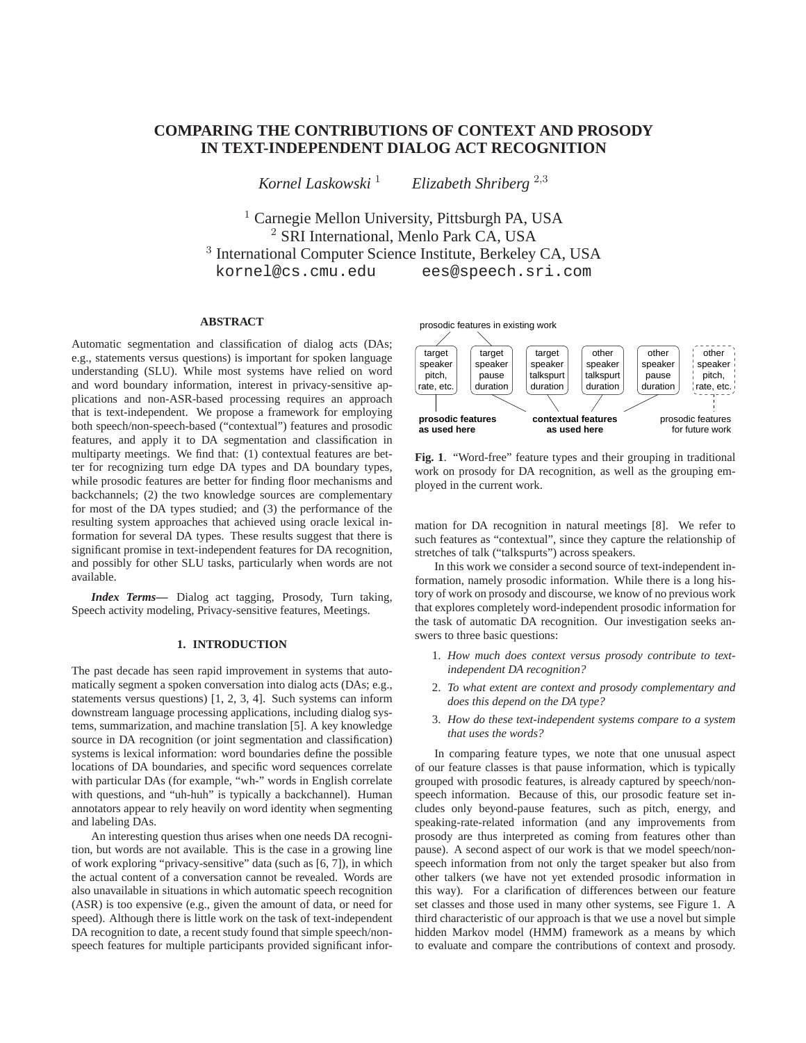# **COMPARING THE CONTRIBUTIONS OF CONTEXT AND PROSODY IN TEXT-INDEPENDENT DIALOG ACT RECOGNITION**

*Kornel Laskowski* <sup>1</sup> *Elizabeth Shriberg* <sup>2</sup>,<sup>3</sup>

<sup>1</sup> Carnegie Mellon University, Pittsburgh PA, USA <sup>2</sup> SRI International, Menlo Park CA, USA 3 International Computer Science Institute, Berkeley CA, USA kornel@cs.cmu.edu ees@speech.sri.com

# **ABSTRACT**

Automatic segmentation and classification of dialog acts (DAs; e.g., statements versus questions) is important for spoken language understanding (SLU). While most systems have relied on word and word boundary information, interest in privacy-sensitive applications and non-ASR-based processing requires an approach that is text-independent. We propose a framework for employing both speech/non-speech-based ("contextual") features and prosodic features, and apply it to DA segmentation and classification in multiparty meetings. We find that: (1) contextual features are better for recognizing turn edge DA types and DA boundary types, while prosodic features are better for finding floor mechanisms and backchannels; (2) the two knowledge sources are complementary for most of the DA types studied; and (3) the performance of the resulting system approaches that achieved using oracle lexical information for several DA types. These results suggest that there is significant promise in text-independent features for DA recognition, and possibly for other SLU tasks, particularly when words are not available.

*Index Terms***—** Dialog act tagging, Prosody, Turn taking, Speech activity modeling, Privacy-sensitive features, Meetings.

# **1. INTRODUCTION**

The past decade has seen rapid improvement in systems that automatically segment a spoken conversation into dialog acts (DAs; e.g., statements versus questions) [1, 2, 3, 4]. Such systems can inform downstream language processing applications, including dialog systems, summarization, and machine translation [5]. A key knowledge source in DA recognition (or joint segmentation and classification) systems is lexical information: word boundaries define the possible locations of DA boundaries, and specific word sequences correlate with particular DAs (for example, "wh-" words in English correlate with questions, and "uh-huh" is typically a backchannel). Human annotators appear to rely heavily on word identity when segmenting and labeling DAs.

An interesting question thus arises when one needs DA recognition, but words are not available. This is the case in a growing line of work exploring "privacy-sensitive" data (such as [6, 7]), in which the actual content of a conversation cannot be revealed. Words are also unavailable in situations in which automatic speech recognition (ASR) is too expensive (e.g., given the amount of data, or need for speed). Although there is little work on the task of text-independent DA recognition to date, a recent study found that simple speech/nonspeech features for multiple participants provided significant infor-



**Fig. 1**. "Word-free" feature types and their grouping in traditional work on prosody for DA recognition, as well as the grouping employed in the current work.

mation for DA recognition in natural meetings [8]. We refer to such features as "contextual", since they capture the relationship of stretches of talk ("talkspurts") across speakers.

In this work we consider a second source of text-independent information, namely prosodic information. While there is a long history of work on prosody and discourse, we know of no previous work that explores completely word-independent prosodic information for the task of automatic DA recognition. Our investigation seeks answers to three basic questions:

- 1. *How much does context versus prosody contribute to textindependent DA recognition?*
- 2. *To what extent are context and prosody complementary and does this depend on the DA type?*
- 3. *How do these text-independent systems compare to a system that uses the words?*

In comparing feature types, we note that one unusual aspect of our feature classes is that pause information, which is typically grouped with prosodic features, is already captured by speech/nonspeech information. Because of this, our prosodic feature set includes only beyond-pause features, such as pitch, energy, and speaking-rate-related information (and any improvements from prosody are thus interpreted as coming from features other than pause). A second aspect of our work is that we model speech/nonspeech information from not only the target speaker but also from other talkers (we have not yet extended prosodic information in this way). For a clarification of differences between our feature set classes and those used in many other systems, see Figure 1. A third characteristic of our approach is that we use a novel but simple hidden Markov model (HMM) framework as a means by which to evaluate and compare the contributions of context and prosody.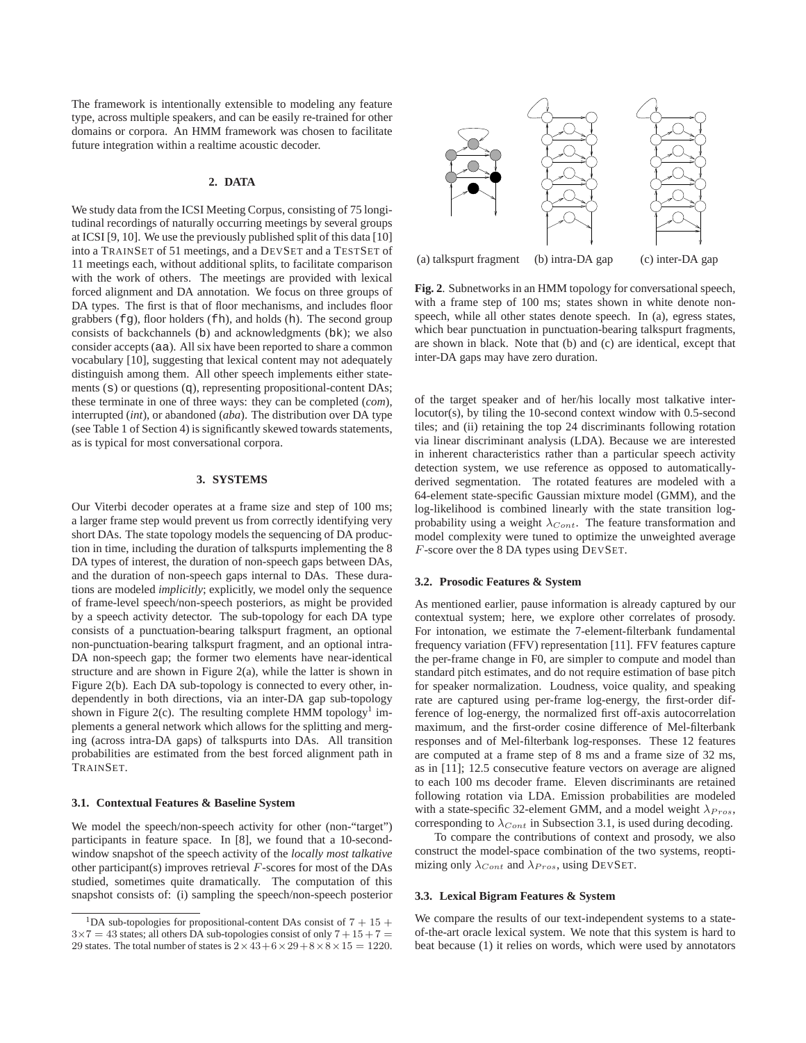The framework is intentionally extensible to modeling any feature type, across multiple speakers, and can be easily re-trained for other domains or corpora. An HMM framework was chosen to facilitate future integration within a realtime acoustic decoder.

### **2. DATA**

We study data from the ICSI Meeting Corpus, consisting of 75 longitudinal recordings of naturally occurring meetings by several groups at ICSI [9, 10]. We use the previously published split of this data [10] into a TRAINSET of 51 meetings, and a DEVSET and a TESTSET of 11 meetings each, without additional splits, to facilitate comparison with the work of others. The meetings are provided with lexical forced alignment and DA annotation. We focus on three groups of DA types. The first is that of floor mechanisms, and includes floor grabbers (fg), floor holders (fh), and holds (h). The second group consists of backchannels (b) and acknowledgments (bk); we also consider accepts (aa). All six have been reported to share a common vocabulary [10], suggesting that lexical content may not adequately distinguish among them. All other speech implements either statements (s) or questions (q), representing propositional-content DAs; these terminate in one of three ways: they can be completed (*com*), interrupted (*int*), or abandoned (*aba*). The distribution over DA type (see Table 1 of Section 4) is significantly skewed towards statements, as is typical for most conversational corpora.

### **3. SYSTEMS**

Our Viterbi decoder operates at a frame size and step of 100 ms; a larger frame step would prevent us from correctly identifying very short DAs. The state topology models the sequencing of DA production in time, including the duration of talkspurts implementing the 8 DA types of interest, the duration of non-speech gaps between DAs, and the duration of non-speech gaps internal to DAs. These durations are modeled *implicitly*; explicitly, we model only the sequence of frame-level speech/non-speech posteriors, as might be provided by a speech activity detector. The sub-topology for each DA type consists of a punctuation-bearing talkspurt fragment, an optional non-punctuation-bearing talkspurt fragment, and an optional intra-DA non-speech gap; the former two elements have near-identical structure and are shown in Figure 2(a), while the latter is shown in Figure 2(b). Each DA sub-topology is connected to every other, independently in both directions, via an inter-DA gap sub-topology shown in Figure 2(c). The resulting complete HMM topology<sup>1</sup> implements a general network which allows for the splitting and merging (across intra-DA gaps) of talkspurts into DAs. All transition probabilities are estimated from the best forced alignment path in TRAINSET.

## **3.1. Contextual Features & Baseline System**

We model the speech/non-speech activity for other (non-"target") participants in feature space. In [8], we found that a 10-secondwindow snapshot of the speech activity of the *locally most talkative* other participant(s) improves retrieval  $F$ -scores for most of the DAs studied, sometimes quite dramatically. The computation of this snapshot consists of: (i) sampling the speech/non-speech posterior



**Fig. 2**. Subnetworks in an HMM topology for conversational speech, with a frame step of 100 ms; states shown in white denote nonspeech, while all other states denote speech. In (a), egress states, which bear punctuation in punctuation-bearing talkspurt fragments,

are shown in black. Note that (b) and (c) are identical, except that

of the target speaker and of her/his locally most talkative interlocutor(s), by tiling the 10-second context window with 0.5-second tiles; and (ii) retaining the top 24 discriminants following rotation via linear discriminant analysis (LDA). Because we are interested in inherent characteristics rather than a particular speech activity detection system, we use reference as opposed to automaticallyderived segmentation. The rotated features are modeled with a 64-element state-specific Gaussian mixture model (GMM), and the log-likelihood is combined linearly with the state transition logprobability using a weight  $\lambda_{Cont}$ . The feature transformation and model complexity were tuned to optimize the unweighted average F-score over the 8 DA types using DEVSET.

#### **3.2. Prosodic Features & System**

inter-DA gaps may have zero duration.

As mentioned earlier, pause information is already captured by our contextual system; here, we explore other correlates of prosody. For intonation, we estimate the 7-element-filterbank fundamental frequency variation (FFV) representation [11]. FFV features capture the per-frame change in F0, are simpler to compute and model than standard pitch estimates, and do not require estimation of base pitch for speaker normalization. Loudness, voice quality, and speaking rate are captured using per-frame log-energy, the first-order difference of log-energy, the normalized first off-axis autocorrelation maximum, and the first-order cosine difference of Mel-filterbank responses and of Mel-filterbank log-responses. These 12 features are computed at a frame step of 8 ms and a frame size of 32 ms, as in [11]; 12.5 consecutive feature vectors on average are aligned to each 100 ms decoder frame. Eleven discriminants are retained following rotation via LDA. Emission probabilities are modeled with a state-specific 32-element GMM, and a model weight  $\lambda_{Pros}$ , corresponding to  $\lambda_{Cont}$  in Subsection 3.1, is used during decoding.

To compare the contributions of context and prosody, we also construct the model-space combination of the two systems, reoptimizing only  $\lambda_{Cont}$  and  $\lambda_{Pros}$ , using DEVSET.

# **3.3. Lexical Bigram Features & System**

We compare the results of our text-independent systems to a stateof-the-art oracle lexical system. We note that this system is hard to beat because (1) it relies on words, which were used by annotators

<sup>&</sup>lt;sup>1</sup>DA sub-topologies for propositional-content DAs consist of  $7 + 15 +$  $3\times7 = 43$  states; all others DA sub-topologies consist of only  $7 + 15 + 7 =$ 29 states. The total number of states is  $2 \times 43 + 6 \times 29 + 8 \times 8 \times 15 = 1220$ .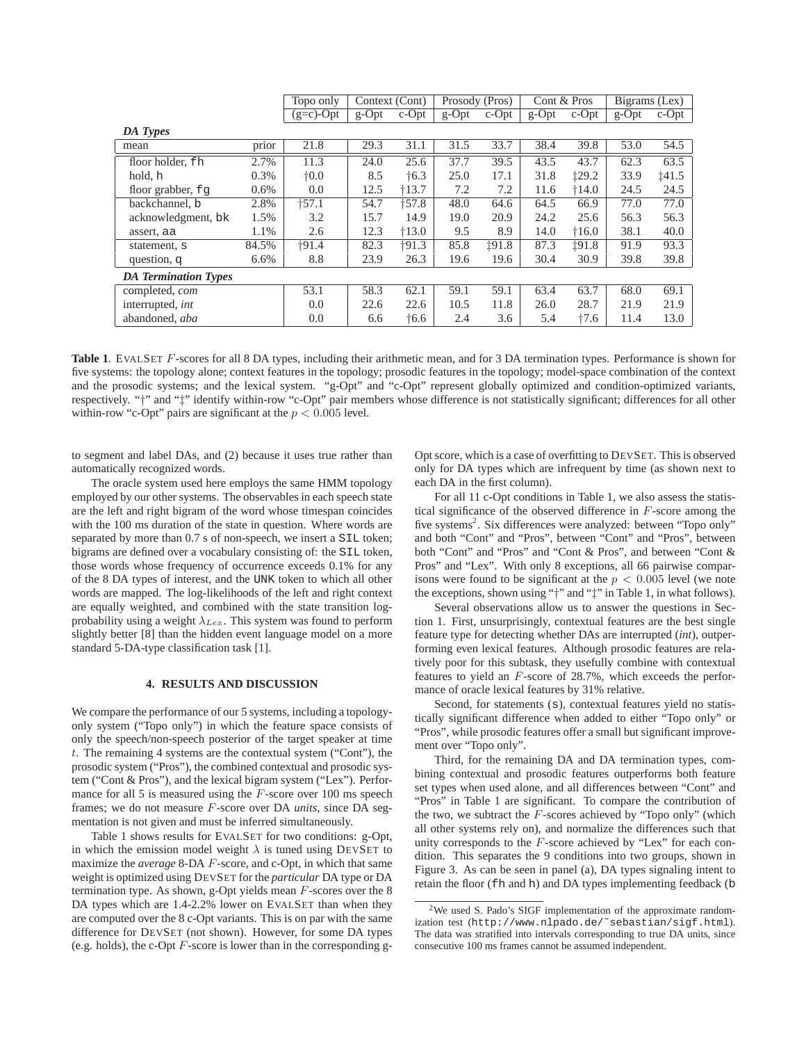|                             |       | Topo only     | Context (Cont) |               | Prosody (Pros) |          | Cont & Pros |          | Bigrams (Lex) |          |
|-----------------------------|-------|---------------|----------------|---------------|----------------|----------|-------------|----------|---------------|----------|
|                             |       | $(g=c)$ -Opt  | $g$ -Opt       | $c$ -Opt      | $g$ -Opt       | $c$ -Opt | $g$ -Opt    | $c$ -Opt | $g$ -Opt      | $c$ -Opt |
| DA Types                    |       |               |                |               |                |          |             |          |               |          |
| mean                        | prior | 21.8          | 29.3           | 31.1          | 31.5           | 33.7     | 38.4        | 39.8     | 53.0          | 54.5     |
| floor holder, fh            | 2.7%  | 11.3          | 24.0           | 25.6          | 37.7           | 39.5     | 43.5        | 43.7     | 62.3          | 63.5     |
| hold, h                     | 0.3%  | $\dagger$ 0.0 | 8.5            | $\dagger$ 6.3 | 25.0           | 17.1     | 31.8        | ±29.2    | 33.9          | 141.5    |
| floor grabber, $f \varphi$  | 0.6%  | 0.0           | 12.5           | $+13.7$       | 7.2            | 7.2      | 11.6        | $+14.0$  | 24.5          | 24.5     |
| backchannel, b              | 2.8%  | $+57.1$       | 54.7           | $+57.8$       | 48.0           | 64.6     | 64.5        | 66.9     | 77.0          | 77.0     |
| acknowledgment, bk          | 1.5%  | 3.2           | 15.7           | 14.9          | 19.0           | 20.9     | 24.2        | 25.6     | 56.3          | 56.3     |
| assert, aa                  | 1.1%  | 2.6           | 12.3           | $+13.0$       | 9.5            | 8.9      | 14.0        | $+16.0$  | 38.1          | 40.0     |
| statement, s                | 84.5% | $+91.4$       | 82.3           | $+91.3$       | 85.8           | 191.8    | 87.3        | 191.8    | 91.9          | 93.3     |
| question, q                 | 6.6%  | 8.8           | 23.9           | 26.3          | 19.6           | 19.6     | 30.4        | 30.9     | 39.8          | 39.8     |
| <b>DA Termination Types</b> |       |               |                |               |                |          |             |          |               |          |
| completed, com              |       | 53.1          | 58.3           | 62.1          | 59.1           | 59.1     | 63.4        | 63.7     | 68.0          | 69.1     |
| interrupted, <i>int</i>     |       | 0.0           | 22.6           | 22.6          | 10.5           | 11.8     | 26.0        | 28.7     | 21.9          | 21.9     |
| abandoned, aba              |       | 0.0           | 6.6            | $\dagger$ 6.6 | 2.4            | 3.6      | 5.4         | $+7.6$   | 11.4          | 13.0     |

**Table 1**. EVALSET F-scores for all 8 DA types, including their arithmetic mean, and for 3 DA termination types. Performance is shown for five systems: the topology alone; context features in the topology; prosodic features in the topology; model-space combination of the context and the prosodic systems; and the lexical system. "g-Opt" and "c-Opt" represent globally optimized and condition-optimized variants, respectively. "†" and "‡" identify within-row "c-Opt" pair members whose difference is not statistically significant; differences for all other within-row "c-Opt" pairs are significant at the  $p < 0.005$  level.

to segment and label DAs, and (2) because it uses true rather than automatically recognized words.

The oracle system used here employs the same HMM topology employed by our other systems. The observables in each speech state are the left and right bigram of the word whose timespan coincides with the 100 ms duration of the state in question. Where words are separated by more than 0.7 s of non-speech, we insert a SIL token; bigrams are defined over a vocabulary consisting of: the SIL token, those words whose frequency of occurrence exceeds 0.1% for any of the 8 DA types of interest, and the UNK token to which all other words are mapped. The log-likelihoods of the left and right context are equally weighted, and combined with the state transition logprobability using a weight  $\lambda_{Lex.}$  This system was found to perform slightly better [8] than the hidden event language model on a more standard 5-DA-type classification task [1].

#### **4. RESULTS AND DISCUSSION**

We compare the performance of our 5 systems, including a topologyonly system ("Topo only") in which the feature space consists of only the speech/non-speech posterior of the target speaker at time t. The remaining 4 systems are the contextual system ("Cont"), the prosodic system ("Pros"), the combined contextual and prosodic system ("Cont & Pros"), and the lexical bigram system ("Lex"). Performance for all 5 is measured using the  $F$ -score over 100 ms speech frames; we do not measure F-score over DA *units*, since DA segmentation is not given and must be inferred simultaneously.

Table 1 shows results for EVALSET for two conditions: g-Opt, in which the emission model weight  $\lambda$  is tuned using DEVSET to maximize the *average* 8-DA F-score, and c-Opt, in which that same weight is optimized using DEVSET for the *particular* DA type or DA termination type. As shown, g-Opt yields mean F-scores over the 8 DA types which are 1.4-2.2% lower on EVALSET than when they are computed over the 8 c-Opt variants. This is on par with the same difference for DEVSET (not shown). However, for some DA types (e.g. holds), the c-Opt  $F$ -score is lower than in the corresponding gOpt score, which is a case of overfitting to DEVSET. This is observed only for DA types which are infrequent by time (as shown next to each DA in the first column).

For all 11 c-Opt conditions in Table 1, we also assess the statistical significance of the observed difference in  $F$ -score among the five systems<sup>2</sup>. Six differences were analyzed: between "Topo only" and both "Cont" and "Pros", between "Cont" and "Pros", between both "Cont" and "Pros" and "Cont & Pros", and between "Cont & Pros" and "Lex". With only 8 exceptions, all 66 pairwise comparisons were found to be significant at the  $p < 0.005$  level (we note the exceptions, shown using "†" and "‡" in Table 1, in what follows).

Several observations allow us to answer the questions in Section 1. First, unsurprisingly, contextual features are the best single feature type for detecting whether DAs are interrupted (*int*), outperforming even lexical features. Although prosodic features are relatively poor for this subtask, they usefully combine with contextual features to yield an F-score of 28.7%, which exceeds the performance of oracle lexical features by 31% relative.

Second, for statements (s), contextual features yield no statistically significant difference when added to either "Topo only" or "Pros", while prosodic features offer a small but significant improvement over "Topo only".

Third, for the remaining DA and DA termination types, combining contextual and prosodic features outperforms both feature set types when used alone, and all differences between "Cont" and "Pros" in Table 1 are significant. To compare the contribution of the two, we subtract the  $F$ -scores achieved by "Topo only" (which all other systems rely on), and normalize the differences such that unity corresponds to the  $F$ -score achieved by "Lex" for each condition. This separates the 9 conditions into two groups, shown in Figure 3. As can be seen in panel (a), DA types signaling intent to retain the floor (fh and h) and DA types implementing feedback (b

 $2$ We used S. Pado's SIGF implementation of the approximate randomization test (http://www.nlpado.de/˜sebastian/sigf.html). The data was stratified into intervals corresponding to true DA units, since consecutive 100 ms frames cannot be assumed independent.